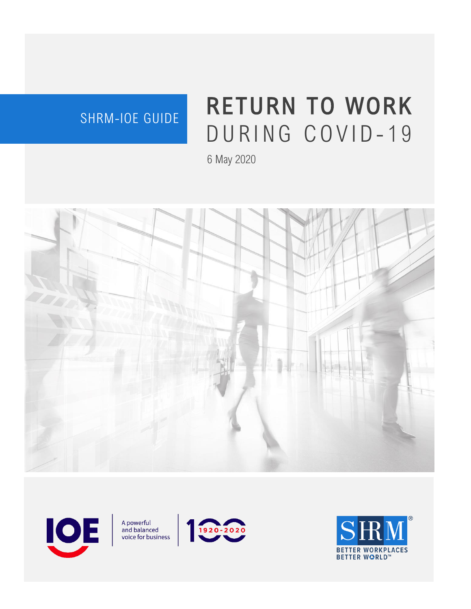### SHRM-IOE GUIDE

# RETURN TO WORK DURING COVID-19

6 May 2020





A powerful<br>and balanced voice for business



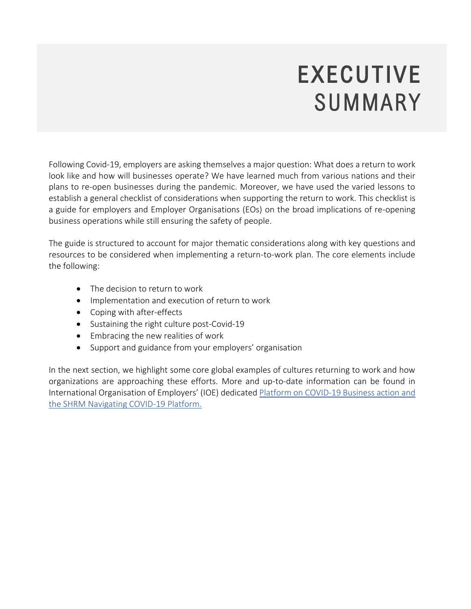## EXECUTIVE SUMMARY

Following Covid-19, employers are asking themselves a major question: What does a return to work look like and how will businesses operate? We have learned much from various nations and their plans to re-open businesses during the pandemic. Moreover, we have used the varied lessons to establish a general checklist of considerations when supporting the return to work. This checklist is a guide for employers and Employer Organisations (EOs) on the broad implications of re-opening business operations while still ensuring the safety of people.

The guide is structured to account for major thematic considerations along with key questions and resources to be considered when implementing a return-to-work plan. The core elements include the following:

- The decision to return to work
- Implementation and execution of return to work
- Coping with after-effects
- Sustaining the right culture post-Covid-19
- Embracing the new realities of work
- Support and guidance from your employers' organisation

In the next section, we highlight some core global examples of cultures returning to work and how organizations are approaching these efforts. More and up-to-date information can be found in International Organisation of Employers' (IOE) dedicated [Platform on COVID-19](https://www.ioe-emp.org/index.php?id=446) Business action and the [SHRM Navigating COVID-19 Platform.](https://pages.shrm.org/futurework?_ga=2.39747107.1692880469.1588108104-1833680867.1587667438&_gac=1.208792102.1587667922.EAIaIQobChMIrpqUrpn_6AIVCZezCh25KQu5EAAYASAAEgI_pPD_BwE)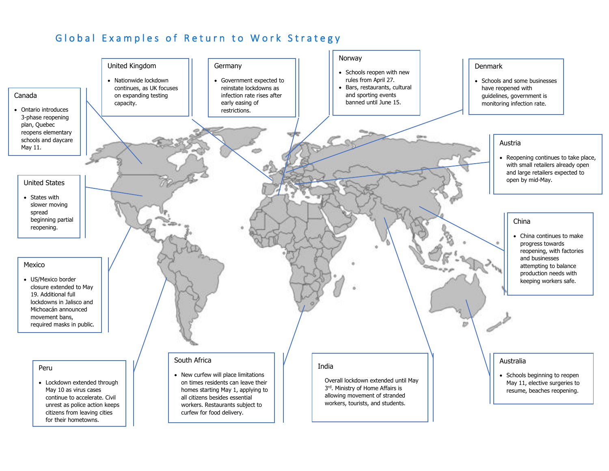#### Global Examples of Return to Work Strategy

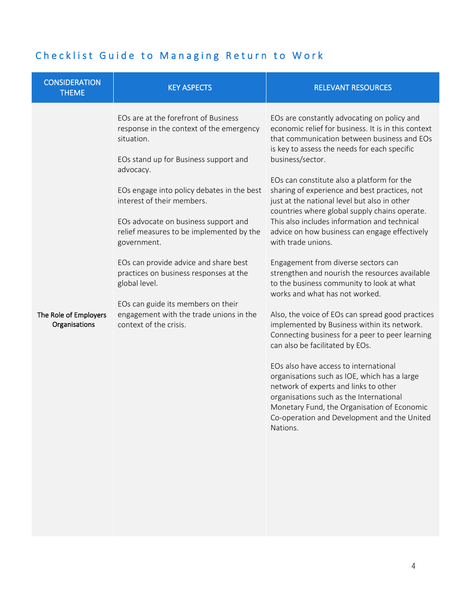#### Checklist Guide to Managing Return to Work

| <b>CONSIDERATION</b><br><b>THEME</b>   | <b>KEY ASPECTS</b>                                                                                                                                                                                                                                                                                                                                                                                                                                                                                                                                 | <b>RELEVANT RESOURCES</b>                                                                                                                                                                                                                                                                                                                                                                                                                                                                                                                                                                                                                                                                                                                                                                                                                                                                                                                                                                                                                                                                                                                                                                            |
|----------------------------------------|----------------------------------------------------------------------------------------------------------------------------------------------------------------------------------------------------------------------------------------------------------------------------------------------------------------------------------------------------------------------------------------------------------------------------------------------------------------------------------------------------------------------------------------------------|------------------------------------------------------------------------------------------------------------------------------------------------------------------------------------------------------------------------------------------------------------------------------------------------------------------------------------------------------------------------------------------------------------------------------------------------------------------------------------------------------------------------------------------------------------------------------------------------------------------------------------------------------------------------------------------------------------------------------------------------------------------------------------------------------------------------------------------------------------------------------------------------------------------------------------------------------------------------------------------------------------------------------------------------------------------------------------------------------------------------------------------------------------------------------------------------------|
| The Role of Employers<br>Organisations | EOs are at the forefront of Business<br>response in the context of the emergency<br>situation.<br>EOs stand up for Business support and<br>advocacy.<br>EOs engage into policy debates in the best<br>interest of their members.<br>EOs advocate on business support and<br>relief measures to be implemented by the<br>government.<br>EOs can provide advice and share best<br>practices on business responses at the<br>global level.<br>EOs can guide its members on their<br>engagement with the trade unions in the<br>context of the crisis. | EOs are constantly advocating on policy and<br>economic relief for business. It is in this context<br>that communication between business and EOs<br>is key to assess the needs for each specific<br>business/sector.<br>EOs can constitute also a platform for the<br>sharing of experience and best practices, not<br>just at the national level but also in other<br>countries where global supply chains operate.<br>This also includes information and technical<br>advice on how business can engage effectively<br>with trade unions.<br>Engagement from diverse sectors can<br>strengthen and nourish the resources available<br>to the business community to look at what<br>works and what has not worked.<br>Also, the voice of EOs can spread good practices<br>implemented by Business within its network.<br>Connecting business for a peer to peer learning<br>can also be facilitated by EOs.<br>EOs also have access to international<br>organisations such as IOE, which has a large<br>network of experts and links to other<br>organisations such as the International<br>Monetary Fund, the Organisation of Economic<br>Co-operation and Development and the United<br>Nations. |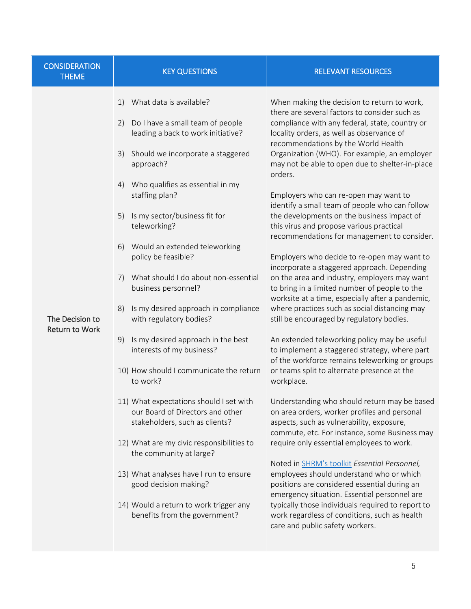| <b>CONSIDERATION</b><br><b>THEME</b>     | <b>KEY QUESTIONS</b>                                                                                                                                                                                                                                                                                                                                                                                                                                                                                                                                                                                                                                                                                                                                                                                                                                                                                                                                                        | <b>RELEVANT RESOURCES</b>                                                                                                                                                                                                                                                                                                                                                                                                                                                                                                                                                                                                                                                                                                                                                                                                                                                                                                                                                                                                                                                                                                                                                                                                                                                                                                                                                                                                                                                                                                                                                                                                                                                                                                             |
|------------------------------------------|-----------------------------------------------------------------------------------------------------------------------------------------------------------------------------------------------------------------------------------------------------------------------------------------------------------------------------------------------------------------------------------------------------------------------------------------------------------------------------------------------------------------------------------------------------------------------------------------------------------------------------------------------------------------------------------------------------------------------------------------------------------------------------------------------------------------------------------------------------------------------------------------------------------------------------------------------------------------------------|---------------------------------------------------------------------------------------------------------------------------------------------------------------------------------------------------------------------------------------------------------------------------------------------------------------------------------------------------------------------------------------------------------------------------------------------------------------------------------------------------------------------------------------------------------------------------------------------------------------------------------------------------------------------------------------------------------------------------------------------------------------------------------------------------------------------------------------------------------------------------------------------------------------------------------------------------------------------------------------------------------------------------------------------------------------------------------------------------------------------------------------------------------------------------------------------------------------------------------------------------------------------------------------------------------------------------------------------------------------------------------------------------------------------------------------------------------------------------------------------------------------------------------------------------------------------------------------------------------------------------------------------------------------------------------------------------------------------------------------|
| The Decision to<br><b>Return to Work</b> | What data is available?<br>1)<br>Do I have a small team of people<br>2)<br>leading a back to work initiative?<br>Should we incorporate a staggered<br>3)<br>approach?<br>Who qualifies as essential in my<br>4)<br>staffing plan?<br>5)<br>Is my sector/business fit for<br>teleworking?<br>Would an extended teleworking<br>6)<br>policy be feasible?<br>What should I do about non-essential<br>7)<br>business personnel?<br>Is my desired approach in compliance<br>8)<br>with regulatory bodies?<br>Is my desired approach in the best<br>9)<br>interests of my business?<br>10) How should I communicate the return<br>to work?<br>11) What expectations should I set with<br>our Board of Directors and other<br>stakeholders, such as clients?<br>12) What are my civic responsibilities to<br>the community at large?<br>13) What analyses have I run to ensure<br>good decision making?<br>14) Would a return to work trigger any<br>benefits from the government? | When making the decision to return to work,<br>there are several factors to consider such as<br>compliance with any federal, state, country or<br>locality orders, as well as observance of<br>recommendations by the World Health<br>Organization (WHO). For example, an employer<br>may not be able to open due to shelter-in-place<br>orders.<br>Employers who can re-open may want to<br>identify a small team of people who can follow<br>the developments on the business impact of<br>this virus and propose various practical<br>recommendations for management to consider.<br>Employers who decide to re-open may want to<br>incorporate a staggered approach. Depending<br>on the area and industry, employers may want<br>to bring in a limited number of people to the<br>worksite at a time, especially after a pandemic,<br>where practices such as social distancing may<br>still be encouraged by regulatory bodies.<br>An extended teleworking policy may be useful<br>to implement a staggered strategy, where part<br>of the workforce remains teleworking or groups<br>or teams split to alternate presence at the<br>workplace.<br>Understanding who should return may be based<br>on area orders, worker profiles and personal<br>aspects, such as vulnerability, exposure,<br>commute, etc. For instance, some Business may<br>require only essential employees to work.<br>Noted in SHRM's toolkit Essential Personnel,<br>employees should understand who or which<br>positions are considered essential during an<br>emergency situation. Essential personnel are<br>typically those individuals required to report to<br>work regardless of conditions, such as health<br>care and public safety workers. |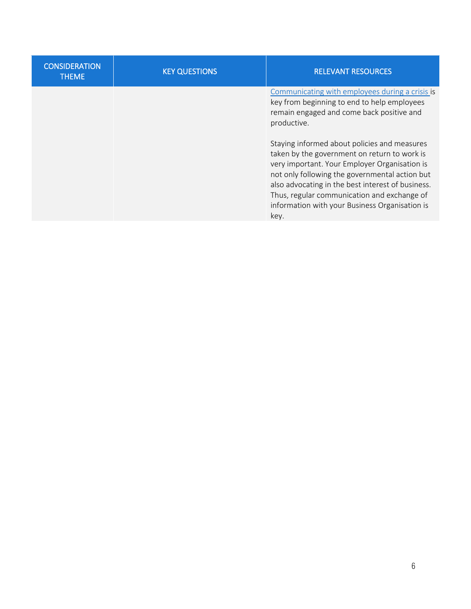| <b>CONSIDERATION</b><br><b>THEME</b> | <b>KEY QUESTIONS</b> | <b>RELEVANT RESOURCES</b>                                                                                                                                                                                                                                                                                                                                     |
|--------------------------------------|----------------------|---------------------------------------------------------------------------------------------------------------------------------------------------------------------------------------------------------------------------------------------------------------------------------------------------------------------------------------------------------------|
|                                      |                      | Communicating with employees during a crisis is<br>key from beginning to end to help employees<br>remain engaged and come back positive and<br>productive.                                                                                                                                                                                                    |
|                                      |                      | Staying informed about policies and measures<br>taken by the government on return to work is<br>very important. Your Employer Organisation is<br>not only following the governmental action but<br>also advocating in the best interest of business.<br>Thus, regular communication and exchange of<br>information with your Business Organisation is<br>key. |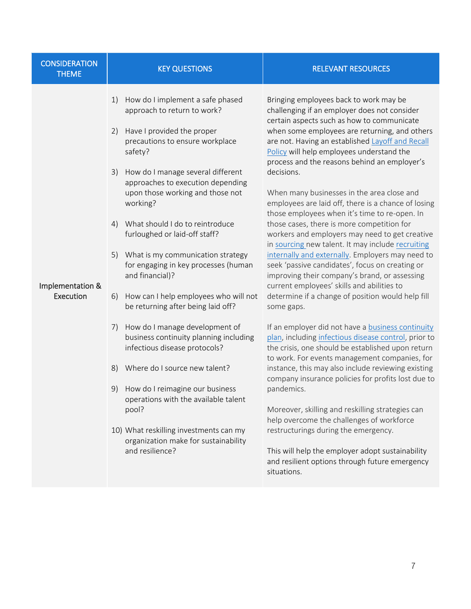| <b>CONSIDERATION</b><br><b>THEME</b> | <b>KEY QUESTIONS</b>                                                                                                                                                                                                                                                                                                                                                                                                                                                                                                                                                                                                                                                                                                                                                                                                                                                                                               | <b>RELEVANT RESOURCES</b>                                                                                                                                                                                                                                                                                                                                                                                                                                                                                                                                                                                                                                                                                                                                                                                                                                                                                                                                                                                                                                                                                                                                                                                                                                                                                                                                                                                                                                                                                                                           |
|--------------------------------------|--------------------------------------------------------------------------------------------------------------------------------------------------------------------------------------------------------------------------------------------------------------------------------------------------------------------------------------------------------------------------------------------------------------------------------------------------------------------------------------------------------------------------------------------------------------------------------------------------------------------------------------------------------------------------------------------------------------------------------------------------------------------------------------------------------------------------------------------------------------------------------------------------------------------|-----------------------------------------------------------------------------------------------------------------------------------------------------------------------------------------------------------------------------------------------------------------------------------------------------------------------------------------------------------------------------------------------------------------------------------------------------------------------------------------------------------------------------------------------------------------------------------------------------------------------------------------------------------------------------------------------------------------------------------------------------------------------------------------------------------------------------------------------------------------------------------------------------------------------------------------------------------------------------------------------------------------------------------------------------------------------------------------------------------------------------------------------------------------------------------------------------------------------------------------------------------------------------------------------------------------------------------------------------------------------------------------------------------------------------------------------------------------------------------------------------------------------------------------------------|
| Implementation &<br>Execution        | How do I implement a safe phased<br>1)<br>approach to return to work?<br>Have I provided the proper<br>2)<br>precautions to ensure workplace<br>safety?<br>How do I manage several different<br>3)<br>approaches to execution depending<br>upon those working and those not<br>working?<br>What should I do to reintroduce<br>4)<br>furloughed or laid-off staff?<br>5) What is my communication strategy<br>for engaging in key processes (human<br>and financial)?<br>How can I help employees who will not<br>6)<br>be returning after being laid off?<br>How do I manage development of<br>7)<br>business continuity planning including<br>infectious disease protocols?<br>Where do I source new talent?<br>8)<br>How do I reimagine our business<br>9)<br>operations with the available talent<br>pool?<br>10) What reskilling investments can my<br>organization make for sustainability<br>and resilience? | Bringing employees back to work may be<br>challenging if an employer does not consider<br>certain aspects such as how to communicate<br>when some employees are returning, and others<br>are not. Having an established Layoff and Recall<br>Policy will help employees understand the<br>process and the reasons behind an employer's<br>decisions.<br>When many businesses in the area close and<br>employees are laid off, there is a chance of losing<br>those employees when it's time to re-open. In<br>those cases, there is more competition for<br>workers and employers may need to get creative<br>in sourcing new talent. It may include recruiting<br>internally and externally. Employers may need to<br>seek 'passive candidates', focus on creating or<br>improving their company's brand, or assessing<br>current employees' skills and abilities to<br>determine if a change of position would help fill<br>some gaps.<br>If an employer did not have a business continuity<br>plan, including infectious disease control, prior to<br>the crisis, one should be established upon return<br>to work. For events management companies, for<br>instance, this may also include reviewing existing<br>company insurance policies for profits lost due to<br>pandemics.<br>Moreover, skilling and reskilling strategies can<br>help overcome the challenges of workforce<br>restructurings during the emergency.<br>This will help the employer adopt sustainability<br>and resilient options through future emergency<br>situations. |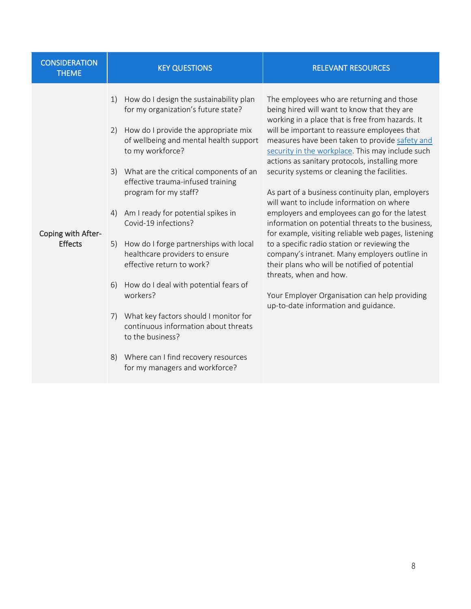| <b>CONSIDERATION</b><br><b>THEME</b> | <b>KEY QUESTIONS</b>                                                                                                                                                                                                                                                                                                                                                                                                                                                                                                                                                                                                                                                                                                                                | <b>RELEVANT RESOURCES</b>                                                                                                                                                                                                                                                                                                                                                                                                                                                                                                                                                                                                                                                                                                                                                                                                                                                                                                               |
|--------------------------------------|-----------------------------------------------------------------------------------------------------------------------------------------------------------------------------------------------------------------------------------------------------------------------------------------------------------------------------------------------------------------------------------------------------------------------------------------------------------------------------------------------------------------------------------------------------------------------------------------------------------------------------------------------------------------------------------------------------------------------------------------------------|-----------------------------------------------------------------------------------------------------------------------------------------------------------------------------------------------------------------------------------------------------------------------------------------------------------------------------------------------------------------------------------------------------------------------------------------------------------------------------------------------------------------------------------------------------------------------------------------------------------------------------------------------------------------------------------------------------------------------------------------------------------------------------------------------------------------------------------------------------------------------------------------------------------------------------------------|
| Coping with After-<br><b>Effects</b> | How do I design the sustainability plan<br>1)<br>for my organization's future state?<br>How do I provide the appropriate mix<br>2)<br>of wellbeing and mental health support<br>to my workforce?<br>3) What are the critical components of an<br>effective trauma-infused training<br>program for my staff?<br>Am I ready for potential spikes in<br>4)<br>Covid-19 infections?<br>How do I forge partnerships with local<br>5)<br>healthcare providers to ensure<br>effective return to work?<br>How do I deal with potential fears of<br>6)<br>workers?<br>What key factors should I monitor for<br>7)<br>continuous information about threats<br>to the business?<br>Where can I find recovery resources<br>8)<br>for my managers and workforce? | The employees who are returning and those<br>being hired will want to know that they are<br>working in a place that is free from hazards. It<br>will be important to reassure employees that<br>measures have been taken to provide safety and<br>security in the workplace. This may include such<br>actions as sanitary protocols, installing more<br>security systems or cleaning the facilities.<br>As part of a business continuity plan, employers<br>will want to include information on where<br>employers and employees can go for the latest<br>information on potential threats to the business,<br>for example, visiting reliable web pages, listening<br>to a specific radio station or reviewing the<br>company's intranet. Many employers outline in<br>their plans who will be notified of potential<br>threats, when and how.<br>Your Employer Organisation can help providing<br>up-to-date information and guidance. |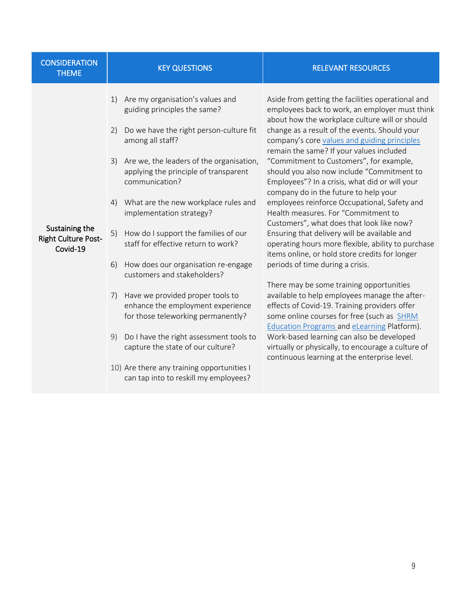| <b>CONSIDERATION</b><br><b>THEME</b>                     | <b>KEY QUESTIONS</b>                                                                                                                                                                                                                                                                                                                                                                                                                                                                                                                                                                                                                                                                                                                                                                                  | <b>RELEVANT RESOURCES</b>                                                                                                                                                                                                                                                                                                                                                                                                                                                                                                                                                                                                                                                                                                                                                                                                                                                                                                                                                                                                                                                                                                                                                                                                   |
|----------------------------------------------------------|-------------------------------------------------------------------------------------------------------------------------------------------------------------------------------------------------------------------------------------------------------------------------------------------------------------------------------------------------------------------------------------------------------------------------------------------------------------------------------------------------------------------------------------------------------------------------------------------------------------------------------------------------------------------------------------------------------------------------------------------------------------------------------------------------------|-----------------------------------------------------------------------------------------------------------------------------------------------------------------------------------------------------------------------------------------------------------------------------------------------------------------------------------------------------------------------------------------------------------------------------------------------------------------------------------------------------------------------------------------------------------------------------------------------------------------------------------------------------------------------------------------------------------------------------------------------------------------------------------------------------------------------------------------------------------------------------------------------------------------------------------------------------------------------------------------------------------------------------------------------------------------------------------------------------------------------------------------------------------------------------------------------------------------------------|
| Sustaining the<br><b>Right Culture Post-</b><br>Covid-19 | Are my organisation's values and<br>1)<br>guiding principles the same?<br>Do we have the right person-culture fit<br>2)<br>among all staff?<br>Are we, the leaders of the organisation,<br>3)<br>applying the principle of transparent<br>communication?<br>What are the new workplace rules and<br>4)<br>implementation strategy?<br>How do I support the families of our<br>5)<br>staff for effective return to work?<br>How does our organisation re-engage<br>6)<br>customers and stakeholders?<br>Have we provided proper tools to<br>7)<br>enhance the employment experience<br>for those teleworking permanently?<br>9)<br>Do I have the right assessment tools to<br>capture the state of our culture?<br>10) Are there any training opportunities I<br>can tap into to reskill my employees? | Aside from getting the facilities operational and<br>employees back to work, an employer must think<br>about how the workplace culture will or should<br>change as a result of the events. Should your<br>company's core values and guiding principles<br>remain the same? If your values included<br>"Commitment to Customers", for example,<br>should you also now include "Commitment to<br>Employees"? In a crisis, what did or will your<br>company do in the future to help your<br>employees reinforce Occupational, Safety and<br>Health measures. For "Commitment to<br>Customers", what does that look like now?<br>Ensuring that delivery will be available and<br>operating hours more flexible, ability to purchase<br>items online, or hold store credits for longer<br>periods of time during a crisis.<br>There may be some training opportunities<br>available to help employees manage the after-<br>effects of Covid-19. Training providers offer<br>some online courses for free (such as SHRM<br><b>Education Programs and eLearning Platform).</b><br>Work-based learning can also be developed<br>virtually or physically, to encourage a culture of<br>continuous learning at the enterprise level. |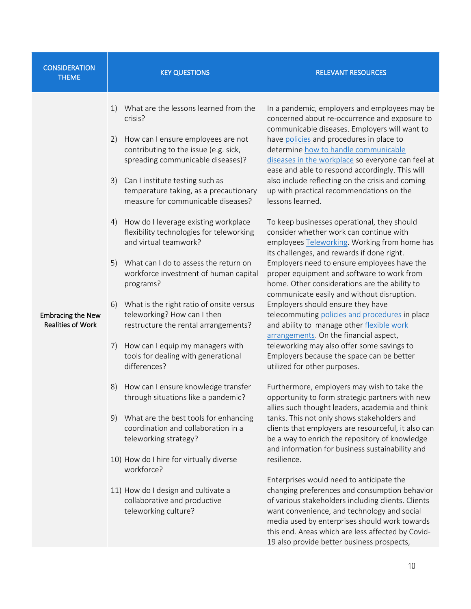| <b>CONSIDERATION</b><br><b>THEME</b>                 | <b>KEY QUESTIONS</b>                                                                                                                                                                                                                                                                                      | <b>RELEVANT RESOURCES</b>                                                                                                                                                                                                                                                                                                                                                                                                                                       |
|------------------------------------------------------|-----------------------------------------------------------------------------------------------------------------------------------------------------------------------------------------------------------------------------------------------------------------------------------------------------------|-----------------------------------------------------------------------------------------------------------------------------------------------------------------------------------------------------------------------------------------------------------------------------------------------------------------------------------------------------------------------------------------------------------------------------------------------------------------|
|                                                      | What are the lessons learned from the<br>1)<br>crisis?<br>How can I ensure employees are not<br>2)<br>contributing to the issue (e.g. sick,<br>spreading communicable diseases)?<br>Can I institute testing such as<br>3)<br>temperature taking, as a precautionary<br>measure for communicable diseases? | In a pandemic, employers and employees may be<br>concerned about re-occurrence and exposure to<br>communicable diseases. Employers will want to<br>have policies and procedures in place to<br>determine how to handle communicable<br>diseases in the workplace so everyone can feel at<br>ease and able to respond accordingly. This will<br>also include reflecting on the crisis and coming<br>up with practical recommendations on the<br>lessons learned. |
|                                                      | How do I leverage existing workplace<br>4)<br>flexibility technologies for teleworking<br>and virtual teamwork?                                                                                                                                                                                           | To keep businesses operational, they should<br>consider whether work can continue with<br>employees Teleworking. Working from home has<br>its challenges, and rewards if done right.                                                                                                                                                                                                                                                                            |
|                                                      | What can I do to assess the return on<br>5)<br>workforce investment of human capital<br>programs?                                                                                                                                                                                                         | Employers need to ensure employees have the<br>proper equipment and software to work from<br>home. Other considerations are the ability to<br>communicate easily and without disruption.                                                                                                                                                                                                                                                                        |
| <b>Embracing the New</b><br><b>Realities of Work</b> | What is the right ratio of onsite versus<br>6)<br>teleworking? How can I then<br>restructure the rental arrangements?                                                                                                                                                                                     | Employers should ensure they have<br>telecommuting policies and procedures in place<br>and ability to manage other flexible work<br>arrangements. On the financial aspect,                                                                                                                                                                                                                                                                                      |
|                                                      | How can I equip my managers with<br>7)<br>tools for dealing with generational<br>differences?                                                                                                                                                                                                             | teleworking may also offer some savings to<br>Employers because the space can be better<br>utilized for other purposes.                                                                                                                                                                                                                                                                                                                                         |
|                                                      | How can I ensure knowledge transfer<br>8)<br>through situations like a pandemic?                                                                                                                                                                                                                          | Furthermore, employers may wish to take the<br>opportunity to form strategic partners with new<br>allies such thought leaders, academia and think                                                                                                                                                                                                                                                                                                               |
|                                                      | What are the best tools for enhancing<br>9)<br>coordination and collaboration in a<br>teleworking strategy?                                                                                                                                                                                               | tanks. This not only shows stakeholders and<br>clients that employers are resourceful, it also can<br>be a way to enrich the repository of knowledge<br>and information for business sustainability and                                                                                                                                                                                                                                                         |
|                                                      | 10) How do I hire for virtually diverse<br>workforce?                                                                                                                                                                                                                                                     | resilience.                                                                                                                                                                                                                                                                                                                                                                                                                                                     |
|                                                      | 11) How do I design and cultivate a<br>collaborative and productive<br>teleworking culture?                                                                                                                                                                                                               | Enterprises would need to anticipate the<br>changing preferences and consumption behavior<br>of various stakeholders including clients. Clients<br>want convenience, and technology and social<br>media used by enterprises should work towards<br>this end. Areas which are less affected by Covid-<br>19 also provide better business prospects,                                                                                                              |